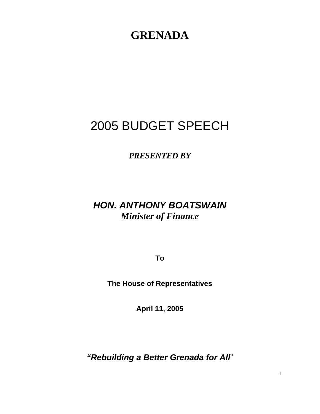# **GRENADA**

# 2005 BUDGET SPEECH

*PRESENTED BY* 

## *HON. ANTHONY BOATSWAIN Minister of Finance*

**To** 

**The House of Representatives** 

**April 11, 2005** 

*"Rebuilding a Better Grenada for All*"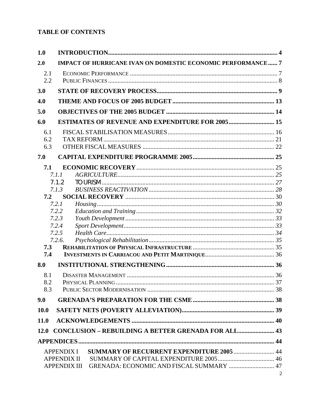## **TABLE OF CONTENTS**

| 1.0         |                                                                       |  |  |  |  |
|-------------|-----------------------------------------------------------------------|--|--|--|--|
| 2.0         | <b>IMPACT OF HURRICANE IVAN ON DOMESTIC ECONOMIC PERFORMANCE 7</b>    |  |  |  |  |
| 2.1         |                                                                       |  |  |  |  |
| 2.2         |                                                                       |  |  |  |  |
| 3.0         |                                                                       |  |  |  |  |
| 4.0         |                                                                       |  |  |  |  |
| 5.0         |                                                                       |  |  |  |  |
| 6.0         | <b>ESTIMATES OF REVENUE AND EXPENDITURE FOR 2005 15</b>               |  |  |  |  |
| 6.1         |                                                                       |  |  |  |  |
| 6.2         |                                                                       |  |  |  |  |
| 6.3         |                                                                       |  |  |  |  |
| 7.0         |                                                                       |  |  |  |  |
| 7.1         |                                                                       |  |  |  |  |
|             | 7.1.1                                                                 |  |  |  |  |
|             | 7.1.2                                                                 |  |  |  |  |
|             | 7.1.3                                                                 |  |  |  |  |
| 7.2         |                                                                       |  |  |  |  |
|             | 7.2.1<br>7.2.2                                                        |  |  |  |  |
|             | 7.2.3                                                                 |  |  |  |  |
|             | 7.2.4                                                                 |  |  |  |  |
|             | 7.2.5                                                                 |  |  |  |  |
|             | 7.2.6.                                                                |  |  |  |  |
| 7.3         |                                                                       |  |  |  |  |
| 7.4         |                                                                       |  |  |  |  |
| 8.0         |                                                                       |  |  |  |  |
| 8.1         |                                                                       |  |  |  |  |
| 8.2         |                                                                       |  |  |  |  |
| 8.3         |                                                                       |  |  |  |  |
| 9.0         |                                                                       |  |  |  |  |
| <b>10.0</b> |                                                                       |  |  |  |  |
| 11.0        |                                                                       |  |  |  |  |
|             | 12.0 CONCLUSION - REBUILDING A BETTER GRENADA FOR ALL 43              |  |  |  |  |
|             |                                                                       |  |  |  |  |
|             | <b>SUMMARY OF RECURRENT EXPENDITURE 2005  44</b><br><b>APPENDIX I</b> |  |  |  |  |
|             | <b>APPENDIX II</b>                                                    |  |  |  |  |
|             | GRENADA: ECONOMIC AND FISCAL SUMMARY  47<br><b>APPENDIX III</b>       |  |  |  |  |

 $\sqrt{2}$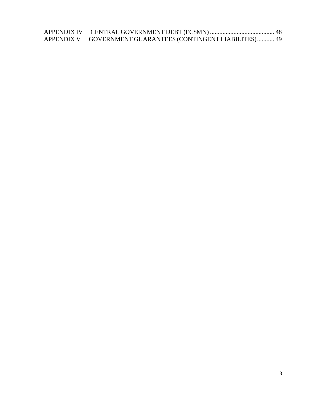APPENDIX IV CENTRAL GOVERNMENT DEBT (EC\$MN) [......................................... 48](#page-47-0)  APPENDIX V GOVERNMENT GUARANTEES (CONTINGENT LIABILITES)........... 49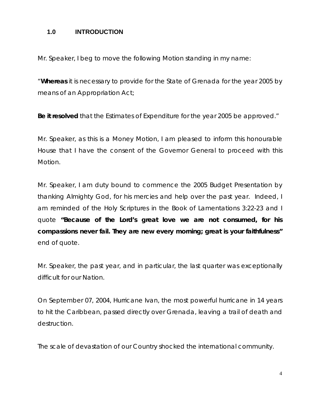#### <span id="page-3-0"></span>**1.0 INTRODUCTION**

Mr. Speaker, I beg to move the following Motion standing in my name:

"**Whereas** it is necessary to provide for the State of Grenada for the year 2005 by means of an Appropriation Act;

**Be it resolved** that the Estimates of Expenditure for the year 2005 be approved."

Mr. Speaker, as this is a Money Motion, I am pleased to inform this honourable House that I have the consent of the Governor General to proceed with this Motion.

Mr. Speaker, I am duty bound to commence the 2005 Budget Presentation by thanking Almighty God, for his mercies and help over the past year. Indeed, I am reminded of the Holy Scriptures in the Book of Lamentations 3:22-23 and I quote **"Because of the Lord's great love we are not consumed, for his compassions never fail. They are new every morning; great is your faithfulness"** end of quote.

Mr. Speaker, the past year, and in particular, the last quarter was exceptionally difficult for our Nation.

On September 07, 2004, Hurricane Ivan, the most powerful hurricane in 14 years to hit the Caribbean, passed directly over Grenada, leaving a trail of death and destruction.

The scale of devastation of our Country shocked the international community.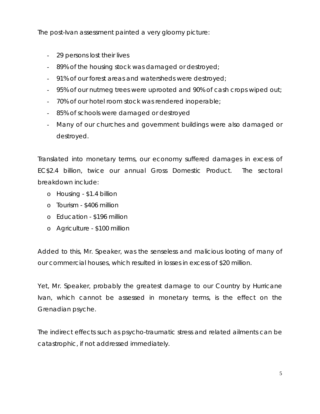The post-Ivan assessment painted a very gloomy picture:

- 29 persons lost their lives
- 89% of the housing stock was damaged or destroyed;
- 91% of our forest areas and watersheds were destroyed;
- 95% of our nutmeg trees were uprooted and 90% of cash crops wiped out;
- 70% of our hotel room stock was rendered inoperable;
- 85% of schools were damaged or destroyed
- Many of our churches and government buildings were also damaged or destroyed.

Translated into monetary terms, our economy suffered damages in excess of EC\$2.4 billion, twice our annual Gross Domestic Product. The sectoral breakdown include:

- o Housing \$1.4 billion
- o Tourism \$406 million
- o Education \$196 million
- o Agriculture \$100 million

Added to this, Mr. Speaker, was the senseless and malicious looting of many of our commercial houses, which resulted in losses in excess of \$20 million.

Yet, Mr. Speaker, probably the greatest damage to our Country by Hurricane Ivan, which cannot be assessed in monetary terms, is the effect on the Grenadian psyche.

The indirect effects such as psycho-traumatic stress and related ailments can be catastrophic, if not addressed immediately.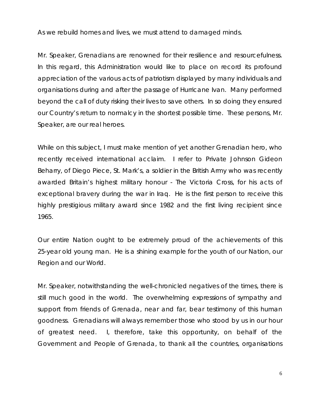As we rebuild homes and lives, we must attend to damaged minds.

Mr. Speaker, Grenadians are renowned for their resilience and resourcefulness. In this regard, this Administration would like to place on record its profound appreciation of the various acts of patriotism displayed by many individuals and organisations during and after the passage of Hurricane Ivan. Many performed beyond the call of duty risking their lives to save others. In so doing they ensured our Country's return to normalcy in the shortest possible time. These persons, Mr. Speaker, are our real heroes.

While on this subject, I must make mention of yet another Grenadian hero, who recently received international acclaim. I refer to Private Johnson Gideon Beharry, of Diego Piece, St. Mark's, a soldier in the British Army who was recently awarded Britain's highest military honour - The Victoria Cross, for his acts of exceptional bravery during the war in Iraq. He is the first person to receive this highly prestigious military award since 1982 and the first living recipient since 1965.

Our entire Nation ought to be extremely proud of the achievements of this 25-year old young man. He is a shining example for the youth of our Nation, our Region and our World.

Mr. Speaker, notwithstanding the well-chronicled negatives of the times, there is still much good in the world. The overwhelming expressions of sympathy and support from friends of Grenada, near and far, bear testimony of this human goodness. Grenadians will always remember those who stood by us in our hour of greatest need. I, therefore, take this opportunity, on behalf of the Government and People of Grenada, to thank all the countries, organisations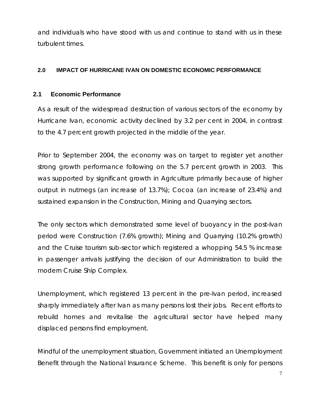<span id="page-6-0"></span>and individuals who have stood with us and continue to stand with us in these turbulent times.

#### **2.0 IMPACT OF HURRICANE IVAN ON DOMESTIC ECONOMIC PERFORMANCE**

#### **2.1 Economic Performance**

As a result of the widespread destruction of various sectors of the economy by Hurricane Ivan, economic activity declined by 3.2 per cent in 2004, in contrast to the 4.7 percent growth projected in the middle of the year.

Prior to September 2004, the economy was on target to register yet another strong growth performance following on the 5.7 percent growth in 2003. This was supported by significant growth in Agriculture primarily because of higher output in nutmegs (an increase of 13.7%); Cocoa (an increase of 23.4%) and sustained expansion in the Construction, Mining and Quarrying sectors.

The only sectors which demonstrated some level of buoyancy in the post-Ivan period were Construction (7.6% growth); Mining and Quarrying (10.2% growth) and the Cruise tourism sub-sector which registered a whopping 54.5 % increase in passenger arrivals justifying the decision of our Administration to build the modern Cruise Ship Complex.

Unemployment, which registered 13 percent in the pre-Ivan period, increased sharply immediately after Ivan as many persons lost their jobs. Recent efforts to rebuild homes and revitalise the agricultural sector have helped many displaced persons find employment.

Mindful of the unemployment situation, Government initiated an Unemployment Benefit through the National Insurance Scheme. This benefit is only for persons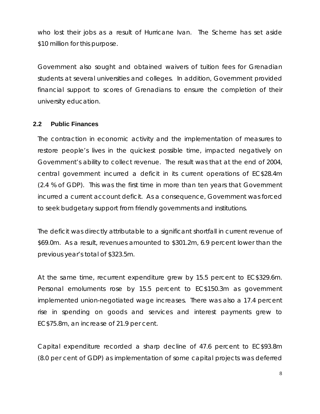<span id="page-7-0"></span>who lost their jobs as a result of Hurricane Ivan. The Scheme has set aside \$10 million for this purpose.

Government also sought and obtained waivers of tuition fees for Grenadian students at several universities and colleges. In addition, Government provided financial support to scores of Grenadians to ensure the completion of their university education.

#### **2.2 Public Finances**

The contraction in economic activity and the implementation of measures to restore people's lives in the quickest possible time, impacted negatively on Government's ability to collect revenue. The result was that at the end of 2004, central government incurred a deficit in its current operations of EC\$28.4m (2.4 % of GDP). This was the first time in more than ten years that Government incurred a current account deficit. As a consequence, Government was forced to seek budgetary support from friendly governments and institutions.

The deficit was directly attributable to a significant shortfall in current revenue of \$69.0m. As a result, revenues amounted to \$301.2m, 6.9 percent lower than the previous year's total of \$323.5m.

At the same time, recurrent expenditure grew by 15.5 percent to EC\$329.6m. Personal emoluments rose by 15.5 percent to EC\$150.3m as government implemented union-negotiated wage increases. There was also a 17.4 percent rise in spending on goods and services and interest payments grew to EC\$75.8m, an increase of 21.9 per cent.

Capital expenditure recorded a sharp decline of 47.6 percent to EC\$93.8m (8.0 per cent of GDP) as implementation of some capital projects was deferred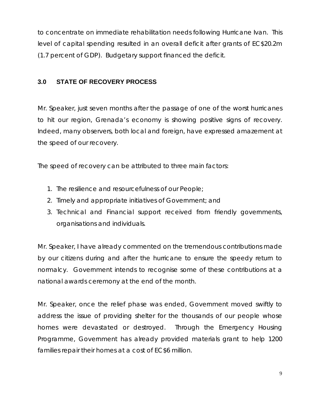<span id="page-8-0"></span>to concentrate on immediate rehabilitation needs following Hurricane Ivan. This level of capital spending resulted in an overall deficit after grants of EC\$20.2m (1.7 percent of GDP). Budgetary support financed the deficit.

## **3.0 STATE OF RECOVERY PROCESS**

Mr. Speaker, just seven months after the passage of one of the worst hurricanes to hit our region, Grenada's economy is showing positive signs of recovery. Indeed, many observers, both local and foreign, have expressed amazement at the speed of our recovery.

The speed of recovery can be attributed to three main factors:

- 1. The resilience and resourcefulness of our People;
- 2. Timely and appropriate initiatives of Government; and
- 3. Technical and Financial support received from friendly governments, organisations and individuals.

Mr. Speaker, I have already commented on the tremendous contributions made by our citizens during and after the hurricane to ensure the speedy return to normalcy. Government intends to recognise some of these contributions at a national awards ceremony at the end of the month.

Mr. Speaker, once the relief phase was ended, Government moved swiftly to address the issue of providing shelter for the thousands of our people whose homes were devastated or destroyed. Through the Emergency Housing Programme, Government has already provided materials grant to help 1200 families repair their homes at a cost of EC\$6 million.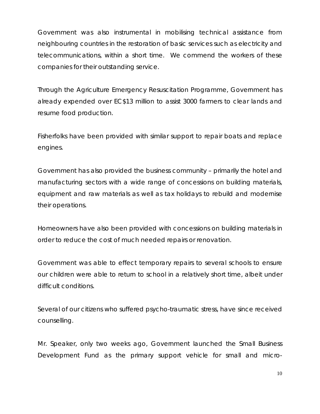Government was also instrumental in mobilising technical assistance from neighbouring countries in the restoration of basic services such as electricity and telecommunications, within a short time. We commend the workers of these companies for their outstanding service.

Through the Agriculture Emergency Resuscitation Programme, Government has already expended over EC\$13 million to assist 3000 farmers to clear lands and resume food production.

Fisherfolks have been provided with similar support to repair boats and replace engines.

Government has also provided the business community – primarily the hotel and manufacturing sectors with a wide range of concessions on building materials, equipment and raw materials as well as tax holidays to rebuild and modernise their operations.

Homeowners have also been provided with concessions on building materials in order to reduce the cost of much needed repairs or renovation.

Government was able to effect temporary repairs to several schools to ensure our children were able to return to school in a relatively short time, albeit under difficult conditions.

Several of our citizens who suffered psycho-traumatic stress, have since received counselling.

Mr. Speaker, only two weeks ago, Government launched the Small Business Development Fund as the primary support vehicle for small and micro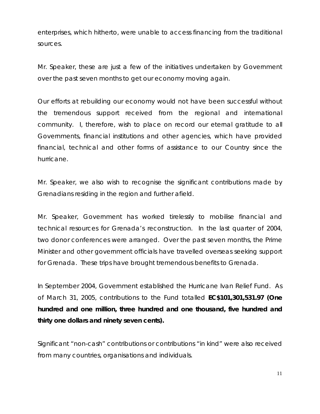enterprises, which hitherto, were unable to access financing from the traditional sources.

Mr. Speaker, these are just a few of the initiatives undertaken by Government over the past seven months to get our economy moving again.

Our efforts at rebuilding our economy would not have been successful without the tremendous support received from the regional and international community. I, therefore, wish to place on record our eternal gratitude to all Governments, financial institutions and other agencies, which have provided financial, technical and other forms of assistance to our Country since the hurricane.

Mr. Speaker, we also wish to recognise the significant contributions made by Grenadians residing in the region and further afield.

Mr. Speaker, Government has worked tirelessly to mobilise financial and technical resources for Grenada's reconstruction. In the last quarter of 2004, two donor conferences were arranged. Over the past seven months, the Prime Minister and other government officials have travelled overseas seeking support for Grenada. These trips have brought tremendous benefits to Grenada.

In September 2004, Government established the Hurricane Ivan Relief Fund. As of March 31, 2005, contributions to the Fund totalled **EC\$101,301,531.97 (One hundred and one million, three hundred and one thousand, five hundred and thirty one dollars and ninety seven cents).** 

Significant "non-cash" contributions or contributions "in kind" were also received from many countries, organisations and individuals.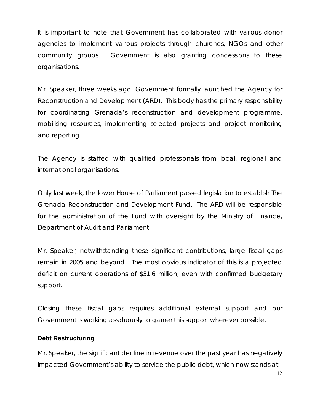It is important to note that Government has collaborated with various donor agencies to implement various projects through churches, NGOs and other community groups. Government is also granting concessions to these organisations.

Mr. Speaker, three weeks ago, Government formally launched the Agency for Reconstruction and Development (ARD). This body has the primary responsibility for coordinating Grenada's reconstruction and development programme, mobilising resources, implementing selected projects and project monitoring and reporting.

The Agency is staffed with qualified professionals from local, regional and international organisations.

Only last week, the lower House of Parliament passed legislation to establish The Grenada Reconstruction and Development Fund. The ARD will be responsible for the administration of the Fund with oversight by the Ministry of Finance, Department of Audit and Parliament.

Mr. Speaker, notwithstanding these significant contributions, large fiscal gaps remain in 2005 and beyond. The most obvious indicator of this is a projected deficit on current operations of \$51.6 million, even with confirmed budgetary support.

Closing these fiscal gaps requires additional external support and our Government is working assiduously to garner this support wherever possible.

#### **Debt Restructuring**

Mr. Speaker, the significant decline in revenue over the past year has negatively impacted Government's ability to service the public debt, which now stands at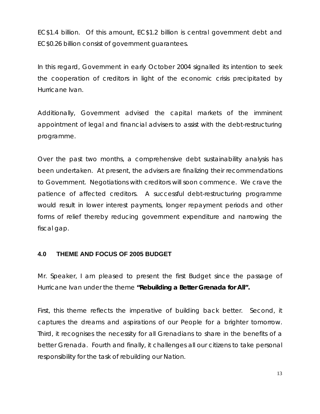<span id="page-12-0"></span>EC\$1.4 billion. Of this amount, EC\$1.2 billion is central government debt and EC\$0.26 billion consist of government guarantees.

In this regard, Government in early October 2004 signalled its intention to seek the cooperation of creditors in light of the economic crisis precipitated by Hurricane Ivan.

Additionally, Government advised the capital markets of the imminent appointment of legal and financial advisers to assist with the debt-restructuring programme.

Over the past two months, a comprehensive debt sustainability analysis has been undertaken. At present, the advisers are finalizing their recommendations to Government. Negotiations with creditors will soon commence. We crave the patience of affected creditors. A successful debt-restructuring programme would result in lower interest payments, longer repayment periods and other forms of relief thereby reducing government expenditure and narrowing the fiscal gap.

#### **4.0 THEME AND FOCUS OF 2005 BUDGET**

Mr. Speaker, I am pleased to present the first Budget since the passage of Hurricane Ivan under the theme **"Rebuilding a Better Grenada for All".** 

First, this theme reflects the imperative of building back better. Second, it captures the dreams and aspirations of our People for a brighter tomorrow. Third, it recognises the necessity for all Grenadians to share in the benefits of a better Grenada. Fourth and finally, it challenges all our citizens to take personal responsibility for the task of rebuilding our Nation.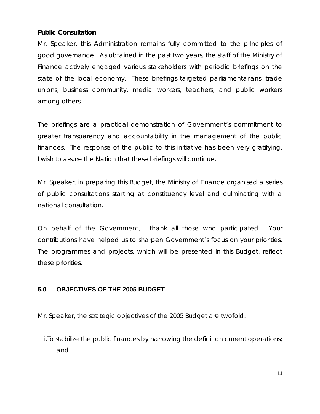#### <span id="page-13-0"></span>**Public Consultation**

Mr. Speaker, this Administration remains fully committed to the principles of good governance. As obtained in the past two years, the staff of the Ministry of Finance actively engaged various stakeholders with periodic briefings on the state of the local economy. These briefings targeted parliamentarians, trade unions, business community, media workers, teachers, and public workers among others.

The briefings are a practical demonstration of Government's commitment to greater transparency and accountability in the management of the public finances. The response of the public to this initiative has been very gratifying. I wish to assure the Nation that these briefings will continue.

Mr. Speaker, in preparing this Budget, the Ministry of Finance organised a series of public consultations starting at constituency level and culminating with a national consultation.

On behalf of the Government, I thank all those who participated. Your contributions have helped us to sharpen Government's focus on your priorities. The programmes and projects, which will be presented in this Budget, reflect these priorities.

## **5.0 OBJECTIVES OF THE 2005 BUDGET**

Mr. Speaker, the strategic objectives of the 2005 Budget are twofold:

i.To stabilize the public finances by narrowing the deficit on current operations; and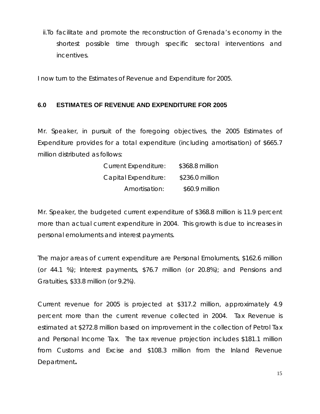<span id="page-14-0"></span>ii.To facilitate and promote the reconstruction of Grenada's economy in the shortest possible time through specific sectoral interventions and incentives.

I now turn to the Estimates of Revenue and Expenditure for 2005.

#### **6.0 ESTIMATES OF REVENUE AND EXPENDITURE FOR 2005**

Mr. Speaker, in pursuit of the foregoing objectives, the 2005 Estimates of Expenditure provides for a total expenditure (including amortisation) of \$665.7 million distributed as follows:

| <b>Current Expenditure:</b> | \$368.8 million |
|-----------------------------|-----------------|
| Capital Expenditure:        | \$236.0 million |
| Amortisation:               | \$60.9 million  |

Mr. Speaker, the budgeted current expenditure of \$368.8 million is 11.9 percent more than actual current expenditure in 2004. This growth is due to increases in personal emoluments and interest payments.

The major areas of current expenditure are Personal Emoluments, \$162.6 million (or 44.1 %); Interest payments, \$76.7 million (or 20.8%); and Pensions and Gratuities, \$33.8 million (or 9.2%).

Current revenue for 2005 is projected at \$317.2 million, approximately 4.9 percent more than the current revenue collected in 2004. Tax Revenue is estimated at \$272.8 million based on improvement in the collection of Petrol Tax and Personal Income Tax. The tax revenue projection includes \$181.1 million from Customs and Excise and \$108.3 million from the Inland Revenue Department**.**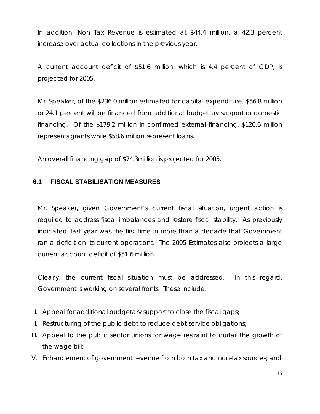<span id="page-15-0"></span>In addition, Non Tax Revenue is estimated at \$44.4 million, a 42.3 percent increase over actual collections in the previous year.

A current account deficit of \$51.6 million, which is 4.4 percent of GDP, is projected for 2005.

Mr. Speaker, of the \$236.0 million estimated for capital expenditure, \$56.8 million or 24.1 percent will be financed from additional budgetary support or domestic financing. Of the \$179.2 million in confirmed external financing, \$120.6 million represents grants while \$58.6 million represent loans.

An overall financing gap of \$74.3million is projected for 2005.

#### **6.1 FISCAL STABILISATION MEASURES**

Mr. Speaker, given Government's current fiscal situation, urgent action is required to address fiscal imbalances and restore fiscal stability. As previously indicated, last year was the first time in more than a decade that Government ran a deficit on its current operations. The 2005 Estimates also projects a large current account deficit of \$51.6 million.

Clearly, the current fiscal situation must be addressed. In this regard, Government is working on several fronts. These include:

- I. Appeal for additional budgetary support to close the fiscal gaps;
- II. Restructuring of the public debt to reduce debt service obligations;
- III. Appeal to the public sector unions for wage restraint to curtail the growth of the wage bill;
- IV. Enhancement of government revenue from both tax and non-tax sources; and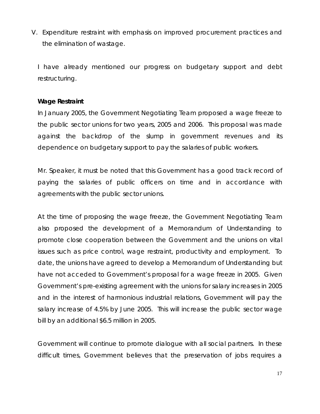V. Expenditure restraint with emphasis on improved procurement practices and the elimination of wastage.

I have already mentioned our progress on budgetary support and debt restructuring.

#### **Wage Restraint**

In January 2005, the Government Negotiating Team proposed a wage freeze to the public sector unions for two years, 2005 and 2006. This proposal was made against the backdrop of the slump in government revenues and its dependence on budgetary support to pay the salaries of public workers.

Mr. Speaker, it must be noted that this Government has a good track record of paying the salaries of public officers on time and in accordance with agreements with the public sector unions.

At the time of proposing the wage freeze, the Government Negotiating Team also proposed the development of a Memorandum of Understanding to promote close cooperation between the Government and the unions on vital issues such as price control, wage restraint, productivity and employment. To date, the unions have agreed to develop a Memorandum of Understanding but have not acceded to Government's proposal for a wage freeze in 2005. Given Government's pre-existing agreement with the unions for salary increases in 2005 and in the interest of harmonious industrial relations, Government will pay the salary increase of 4.5% by June 2005. This will increase the public sector wage bill by an additional \$6.5 million in 2005.

Government will continue to promote dialogue with all social partners. In these difficult times, Government believes that the preservation of jobs requires a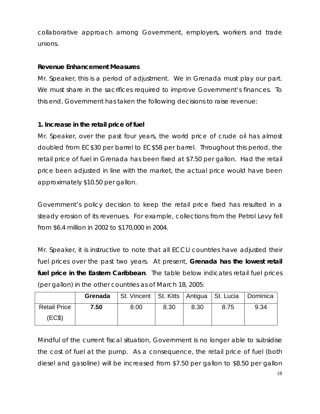collaborative approach among Government, employers, workers and trade unions.

#### **Revenue Enhancement Measures**

Mr. Speaker, this is a period of adjustment. We in Grenada must play our part. We must share in the sacrifices required to improve Government's finances. To this end, Government has taken the following decisions to raise revenue:

#### **1. Increase in the retail price of fuel**

Mr. Speaker, over the past four years, the world price of crude oil has almost doubled from EC\$30 per barrel to EC\$58 per barrel. Throughout this period, the retail price of fuel in Grenada has been fixed at \$7.50 per gallon. Had the retail price been adjusted in line with the market, the actual price would have been approximately \$10.50 per gallon.

Government's policy decision to keep the retail price fixed has resulted in a steady erosion of its revenues. For example, collections from the Petrol Levy fell from \$6.4 million in 2002 to \$170,000 in 2004.

Mr. Speaker, it is instructive to note that all ECCU countries have adjusted their fuel prices over the past two years. At present, **Grenada has the lowest retail fuel price in the Eastern Caribbean**. The table below indicates retail fuel prices (per gallon) in the other countries as of March 18, 2005:

|                     | Grenada | St. Vincent   St. Kitts   Antigua   St. Lucia |      |      |      | Dominica |
|---------------------|---------|-----------------------------------------------|------|------|------|----------|
| <b>Retail Price</b> | 7.50    | 8.00                                          | 8.30 | 8.30 | 8.75 | 9.34     |
| (EC\$)              |         |                                               |      |      |      |          |

Mindful of the current fiscal situation, Government is no longer able to subsidise the cost of fuel at the pump. As a consequence, the retail price of fuel (both diesel and gasoline) will be increased from \$7.50 per gallon to \$8.50 per gallon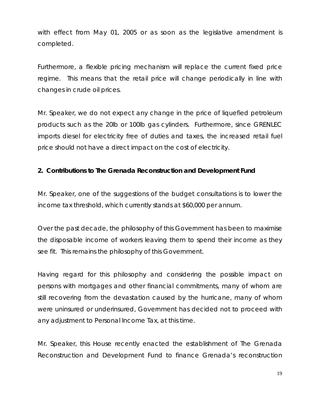with effect from May 01, 2005 or as soon as the legislative amendment is completed.

Furthermore, a flexible pricing mechanism will replace the current fixed price regime. This means that the retail price will change periodically in line with changes in crude oil prices.

Mr. Speaker, we do not expect any change in the price of liquefied petroleum products such as the 20lb or 100lb gas cylinders. Furthermore, since GRENLEC imports diesel for electricity free of duties and taxes, the increased retail fuel price should not have a direct impact on the cost of electricity.

#### **2. Contributions to The Grenada Reconstruction and Development Fund**

Mr. Speaker, one of the suggestions of the budget consultations is to lower the income tax threshold, which currently stands at \$60,000 per annum.

Over the past decade, the philosophy of this Government has been to maximise the disposable income of workers leaving them to spend their income as they see fit. This remains the philosophy of this Government.

Having regard for this philosophy and considering the possible impact on persons with mortgages and other financial commitments, many of whom are still recovering from the devastation caused by the hurricane, many of whom were uninsured or underinsured, Government has decided not to proceed with any adjustment to Personal Income Tax, at this time.

Mr. Speaker, this House recently enacted the establishment of The Grenada Reconstruction and Development Fund to finance Grenada's reconstruction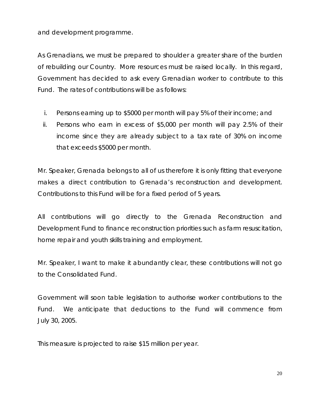and development programme.

As Grenadians, we must be prepared to shoulder a greater share of the burden of rebuilding our Country. More resources must be raised locally. In this regard, Government has decided to ask every Grenadian worker to contribute to this Fund. The rates of contributions will be as follows:

- i. Persons earning up to \$5000 per month will pay 5% of their income; and
- ii. Persons who earn in excess of \$5,000 per month will pay 2.5% of their income since they are already subject to a tax rate of 30% on income that exceeds \$5000 per month.

Mr. Speaker, Grenada belongs to all of us therefore it is only fitting that everyone makes a direct contribution to Grenada's reconstruction and development. Contributions to this Fund will be for a fixed period of 5 years.

All contributions will go directly to the Grenada Reconstruction and Development Fund to finance reconstruction priorities such as farm resuscitation, home repair and youth skills training and employment.

Mr. Speaker, I want to make it abundantly clear, these contributions will not go to the Consolidated Fund.

Government will soon table legislation to authorise worker contributions to the Fund. We anticipate that deductions to the Fund will commence from July 30, 2005.

This measure is projected to raise \$15 million per year.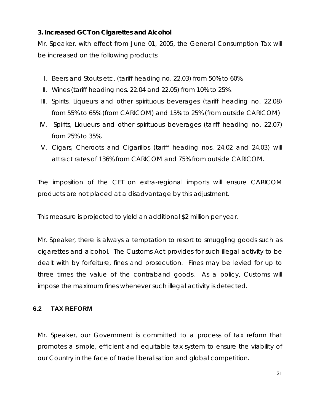## <span id="page-20-0"></span>**3. Increased GCT on Cigarettes and Alcohol**

Mr. Speaker, with effect from June 01, 2005, the General Consumption Tax will be increased on the following products:

- I. Beers and Stouts etc. (tariff heading no. 22.03) from 50% to 60%.
- II. Wines (tariff heading nos. 22.04 and 22.05) from 10% to 25%.
- III. Spirits, Liqueurs and other spirituous beverages (tariff heading no. 22.08) from 55% to 65% (from CARICOM) and 15% to 25% (from outside CARICOM)
- IV. Spirits, Liqueurs and other spirituous beverages (tariff heading no. 22.07) from 25% to 35%.
- V. Cigars, Cheroots and Cigarillos (tariff heading nos. 24.02 and 24.03) will attract rates of 136% from CARICOM and 75% from outside CARICOM.

The imposition of the CET on extra-regional imports will ensure CARICOM products are not placed at a disadvantage by this adjustment.

This measure is projected to yield an additional \$2 million per year.

Mr. Speaker, there is always a temptation to resort to smuggling goods such as cigarettes and alcohol. The Customs Act provides for such illegal activity to be dealt with by forfeiture, fines and prosecution. Fines may be levied for up to three times the value of the contraband goods. As a policy, Customs will impose the maximum fines whenever such illegal activity is detected.

## **6.2 TAX REFORM**

Mr. Speaker, our Government is committed to a process of tax reform that promotes a simple, efficient and equitable tax system to ensure the viability of our Country in the face of trade liberalisation and global competition.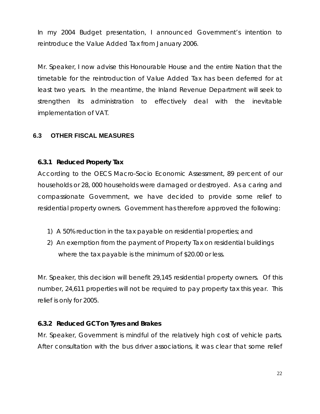<span id="page-21-0"></span>In my 2004 Budget presentation, I announced Government's intention to reintroduce the Value Added Tax from January 2006.

Mr. Speaker, I now advise this Honourable House and the entire Nation that the timetable for the reintroduction of Value Added Tax has been deferred for at least two years. In the meantime, the Inland Revenue Department will seek to strengthen its administration to effectively deal with the inevitable implementation of VAT.

#### **6.3 OTHER FISCAL MEASURES**

#### **6.3.1 Reduced Property Tax**

According to the OECS Macro-Socio Economic Assessment, 89 percent of our households or 28, 000 households were damaged or destroyed. As a caring and compassionate Government, we have decided to provide some relief to residential property owners. Government has therefore approved the following:

- 1) A 50% reduction in the tax payable on residential properties; and
- 2) An exemption from the payment of Property Tax on residential buildings where the tax payable is the minimum of \$20.00 or less.

Mr. Speaker, this decision will benefit 29,145 residential property owners. Of this number, 24,611 properties will not be required to pay property tax this year. This relief is only for 2005.

#### **6.3.2 Reduced GCT on Tyres and Brakes**

Mr. Speaker, Government is mindful of the relatively high cost of vehicle parts. After consultation with the bus driver associations, it was clear that some relief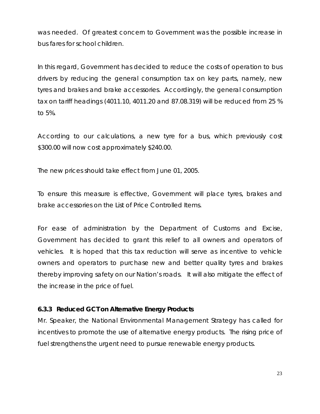was needed. Of greatest concern to Government was the possible increase in bus fares for school children.

In this regard, Government has decided to reduce the costs of operation to bus drivers by reducing the general consumption tax on key parts, namely, new tyres and brakes and brake accessories. Accordingly, the general consumption tax on tariff headings (4011.10, 4011.20 and 87.08.319) will be reduced from 25 % to 5%.

According to our calculations, a new tyre for a bus, which previously cost \$300.00 will now cost approximately \$240.00.

The new prices should take effect from June 01, 2005.

To ensure this measure is effective, Government will place tyres, brakes and brake accessories on the List of Price Controlled Items.

For ease of administration by the Department of Customs and Excise, Government has decided to grant this relief to all owners and operators of vehicles. It is hoped that this tax reduction will serve as incentive to vehicle owners and operators to purchase new and better quality tyres and brakes thereby improving safety on our Nation's roads. It will also mitigate the effect of the increase in the price of fuel.

#### **6.3.3 Reduced GCT on Alternative Energy Products**

Mr. Speaker, the National Environmental Management Strategy has called for incentives to promote the use of alternative energy products. The rising price of fuel strengthens the urgent need to pursue renewable energy products.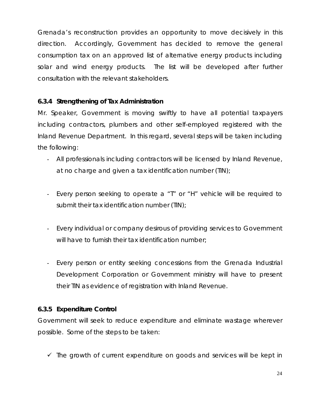Grenada's reconstruction provides an opportunity to move decisively in this direction. Accordingly, Government has decided to remove the general consumption tax on an approved list of alternative energy products including solar and wind energy products. The list will be developed after further consultation with the relevant stakeholders.

## **6.3.4 Strengthening of Tax Administration**

Mr. Speaker, Government is moving swiftly to have all potential taxpayers including contractors, plumbers and other self-employed registered with the Inland Revenue Department. In this regard, several steps will be taken including the following:

- All professionals including contractors will be licensed by Inland Revenue, at no charge and given a tax identification number (TIN);
- Every person seeking to operate a "T" or "H" vehicle will be required to submit their tax identification number (TIN);
- Every individual or company desirous of providing services to Government will have to furnish their tax identification number;
- Every person or entity seeking concessions from the Grenada Industrial Development Corporation or Government ministry will have to present their TIN as evidence of registration with Inland Revenue.

#### **6.3.5 Expenditure Control**

Government will seek to reduce expenditure and eliminate wastage wherever possible. Some of the steps to be taken:

 $\checkmark$  The growth of current expenditure on goods and services will be kept in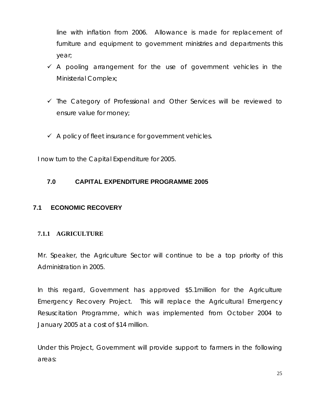<span id="page-24-0"></span>line with inflation from 2006. Allowance is made for replacement of furniture and equipment to government ministries and departments this year;

- $\checkmark$  A pooling arrangement for the use of government vehicles in the Ministerial Complex;
- $\checkmark$  The Category of Professional and Other Services will be reviewed to ensure value for money;
- $\checkmark$  A policy of fleet insurance for government vehicles.

I now turn to the Capital Expenditure for 2005.

#### **7.0 CAPITAL EXPENDITURE PROGRAMME 2005**

#### **7.1 ECONOMIC RECOVERY**

#### **7.1.1 AGRICULTURE**

Mr. Speaker, the Agriculture Sector will continue to be a top priority of this Administration in 2005.

In this regard, Government has approved \$5.1million for the Agriculture Emergency Recovery Project. This will replace the Agricultural Emergency Resuscitation Programme, which was implemented from October 2004 to January 2005 at a cost of \$14 million.

Under this Project, Government will provide support to farmers in the following areas: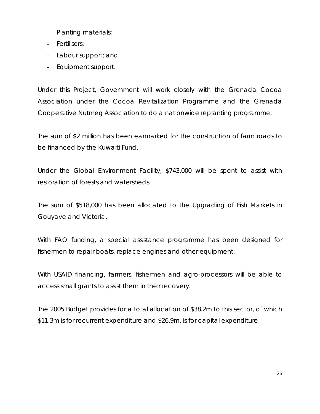- Planting materials;
- Fertilisers;
- Labour support; and
- Equipment support.

Under this Project, Government will work closely with the Grenada Cocoa Association under the Cocoa Revitalization Programme and the Grenada Cooperative Nutmeg Association to do a nationwide replanting programme.

The sum of \$2 million has been earmarked for the construction of farm roads to be financed by the Kuwaiti Fund.

Under the Global Environment Facility, \$743,000 will be spent to assist with restoration of forests and watersheds.

The sum of \$518,000 has been allocated to the Upgrading of Fish Markets in Gouyave and Victoria.

With FAO funding, a special assistance programme has been designed for fishermen to repair boats, replace engines and other equipment.

With USAID financing, farmers, fishermen and agro-processors will be able to access small grants to assist them in their recovery.

The 2005 Budget provides for a total allocation of \$38.2m to this sector, of which \$11.3m is for recurrent expenditure and \$26.9m, is for capital expenditure.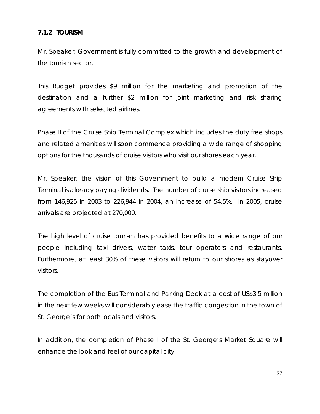#### <span id="page-26-0"></span>**7.1.2 TOURISM**

Mr. Speaker, Government is fully committed to the growth and development of the tourism sector.

This Budget provides \$9 million for the marketing and promotion of the destination and a further \$2 million for joint marketing and risk sharing agreements with selected airlines.

Phase II of the Cruise Ship Terminal Complex which includes the duty free shops and related amenities will soon commence providing a wide range of shopping options for the thousands of cruise visitors who visit our shores each year.

Mr. Speaker, the vision of this Government to build a modern Cruise Ship Terminal is already paying dividends. The number of cruise ship visitors increased from 146,925 in 2003 to 226,944 in 2004, an increase of 54.5%. In 2005, cruise arrivals are projected at 270,000.

The high level of cruise tourism has provided benefits to a wide range of our people including taxi drivers, water taxis, tour operators and restaurants. Furthermore, at least 30% of these visitors will return to our shores as stayover visitors.

The completion of the Bus Terminal and Parking Deck at a cost of US\$3.5 million in the next few weeks will considerably ease the traffic congestion in the town of St. George's for both locals and visitors.

In addition, the completion of Phase I of the St. George's Market Square will enhance the look and feel of our capital city.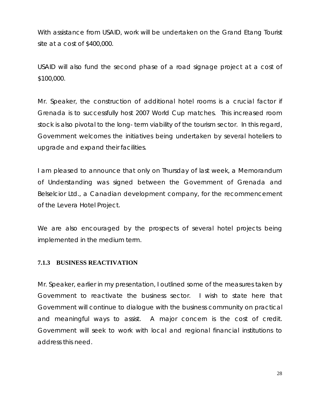<span id="page-27-0"></span>With assistance from USAID, work will be undertaken on the Grand Etang Tourist site at a cost of \$400,000.

USAID will also fund the second phase of a road signage project at a cost of \$100,000.

Mr. Speaker, the construction of additional hotel rooms is a crucial factor if Grenada is to successfully host 2007 World Cup matches. This increased room stock is also pivotal to the long- term viability of the tourism sector. In this regard, Government welcomes the initiatives being undertaken by several hoteliers to upgrade and expand their facilities.

I am pleased to announce that only on Thursday of last week, a Memorandum of Understanding was signed between the Government of Grenada and Belselcior Ltd., a Canadian development company, for the recommencement of the Levera Hotel Project.

We are also encouraged by the prospects of several hotel projects being implemented in the medium term.

#### **7.1.3 BUSINESS REACTIVATION**

Mr. Speaker, earlier in my presentation, I outlined some of the measures taken by Government to reactivate the business sector. I wish to state here that Government will continue to dialogue with the business community on practical and meaningful ways to assist. A major concern is the cost of credit. Government will seek to work with local and regional financial institutions to address this need.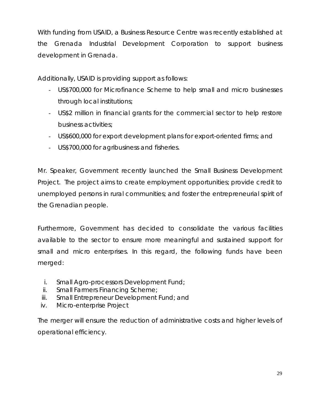With funding from USAID, a Business Resource Centre was recently established at the Grenada Industrial Development Corporation to support business development in Grenada.

Additionally, USAID is providing support as follows:

- US\$700,000 for Microfinance Scheme to help small and micro businesses through local institutions;
- US\$2 million in financial grants for the commercial sector to help restore business activities;
- US\$600,000 for export development plans for export-oriented firms; and
- US\$700,000 for agribusiness and fisheries.

Mr. Speaker, Government recently launched the Small Business Development Project. The project aims to create employment opportunities; provide credit to unemployed persons in rural communities; and foster the entrepreneurial spirit of the Grenadian people.

Furthermore, Government has decided to consolidate the various facilities available to the sector to ensure more meaningful and sustained support for small and micro enterprises. In this regard, the following funds have been merged:

- i. Small Agro-processors Development Fund;
- ii. Small Farmers Financing Scheme;
- iii. Small Entrepreneur Development Fund; and
- iv. Micro-enterprise Project

The merger will ensure the reduction of administrative costs and higher levels of operational efficiency.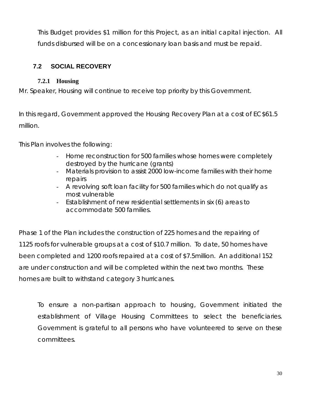<span id="page-29-0"></span>This Budget provides \$1 million for this Project, as an initial capital injection. All funds disbursed will be on a concessionary loan basis and must be repaid.

## **7.2 SOCIAL RECOVERY**

### **7.2.1 Housing**

Mr. Speaker, Housing will continue to receive top priority by this Government.

In this regard, Government approved the Housing Recovery Plan at a cost of EC\$61.5 million.

This Plan involves the following:

- Home reconstruction for 500 families whose homes were completely destroyed by the hurricane (grants)
- Materials provision to assist 2000 low-income families with their home repairs
- A revolving soft loan facility for 500 families which do not qualify as most vulnerable
- Establishment of new residential settlements in six (6) areas to accommodate 500 families.

Phase 1 of the Plan includes the construction of 225 homes and the repairing of 1125 roofs for vulnerable groups at a cost of \$10.7 million. To date, 50 homes have been completed and 1200 roofs repaired at a cost of \$7.5million. An additional 152 are under construction and will be completed within the next two months. These homes are built to withstand category 3 hurricanes.

To ensure a non-partisan approach to housing, Government initiated the establishment of Village Housing Committees to select the beneficiaries. Government is grateful to all persons who have volunteered to serve on these committees.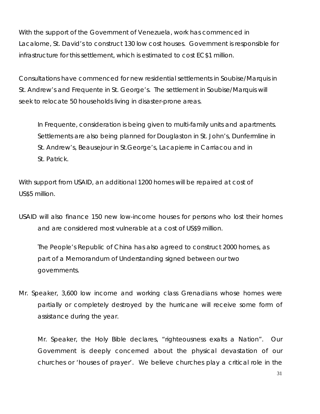With the support of the Government of Venezuela, work has commenced in Lacalome, St. David's to construct 130 low cost houses. Government is responsible for infrastructure for this settlement, which is estimated to cost EC\$1 million.

Consultations have commenced for new residential settlements in Soubise/Marquis in St. Andrew's and Frequente in St. George's. The settlement in Soubise/Marquis will seek to relocate 50 households living in disaster-prone areas.

In Frequente, consideration is being given to multi-family units and apartments. Settlements are also being planned for Douglaston in St. John's, Dunfermline in St. Andrew's, Beausejour in St.George's, Lacapierre in Carriacou and in St. Patrick.

With support from USAID, an additional 1200 homes will be repaired at cost of US\$5 million.

USAID will also finance 150 new low-income houses for persons who lost their homes and are considered most vulnerable at a cost of US\$9 million.

The People's Republic of China has also agreed to construct 2000 homes, as part of a Memorandum of Understanding signed between our two governments.

Mr. Speaker, 3,600 low income and working class Grenadians whose homes were partially or completely destroyed by the hurricane will receive some form of assistance during the year.

Mr. Speaker, the Holy Bible declares, "righteousness exalts a Nation". Our Government is deeply concerned about the physical devastation of our churches or 'houses of prayer'. We believe churches play a critical role in the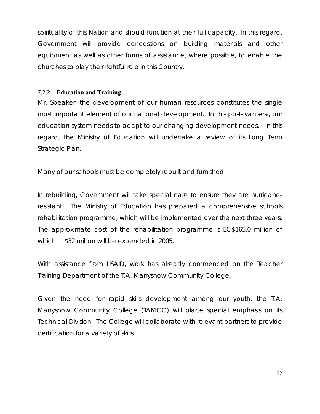<span id="page-31-0"></span>spirituality of this Nation and should function at their full capacity. In this regard, Government will provide concessions on building materials and other equipment as well as other forms of assistance, where possible, to enable the churches to play their rightful role in this Country.

#### **7.2.2 Education and Training**

Mr. Speaker, the development of our human resources constitutes the single most important element of our national development. In this post-Ivan era, our education system needs to adapt to our changing development needs. In this regard, the Ministry of Education will undertake a review of its Long Term Strategic Plan.

Many of our schools must be completely rebuilt and furnished.

In rebuilding, Government will take special care to ensure they are hurricaneresistant. The Ministry of Education has prepared a comprehensive schools rehabilitation programme, which will be implemented over the next three years. The approximate cost of the rehabilitation programme is EC\$165.0 million of which \$32 million will be expended in 2005.

With assistance from USAID, work has already commenced on the Teacher Training Department of the T.A. Marryshow Community College.

Given the need for rapid skills development among our youth, the T.A. Marryshow Community College (TAMCC) will place special emphasis on its Technical Division. The College will collaborate with relevant partners to provide certification for a variety of skills.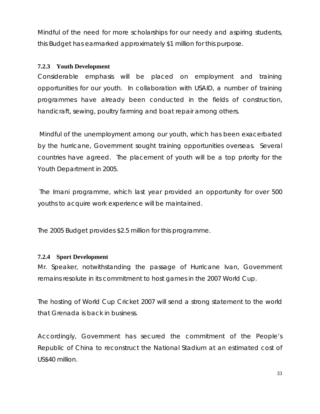<span id="page-32-0"></span>Mindful of the need for more scholarships for our needy and aspiring students, this Budget has earmarked approximately \$1 million for this purpose.

#### **7.2.3 Youth Development**

Considerable emphasis will be placed on employment and training opportunities for our youth. In collaboration with USAID, a number of training programmes have already been conducted in the fields of construction, handicraft, sewing, poultry farming and boat repair among others.

 Mindful of the unemployment among our youth, which has been exacerbated by the hurricane, Government sought training opportunities overseas. Several countries have agreed. The placement of youth will be a top priority for the Youth Department in 2005.

 The Imani programme, which last year provided an opportunity for over 500 youths to acquire work experience will be maintained.

The 2005 Budget provides \$2.5 million for this programme.

#### **7.2.4 Sport Development**

Mr. Speaker, notwithstanding the passage of Hurricane Ivan, Government remains resolute in its commitment to host games in the 2007 World Cup.

The hosting of World Cup Cricket 2007 will send a strong statement to the world that Grenada is back in business.

Accordingly, Government has secured the commitment of the People's Republic of China to reconstruct the National Stadium at an estimated cost of US\$40 million.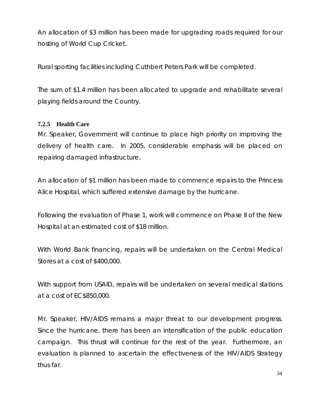<span id="page-33-0"></span>An allocation of \$3 million has been made for upgrading roads required for our hosting of World Cup Cricket.

Rural sporting facilities including Cuthbert Peters Park will be completed.

The sum of \$1.4 million has been allocated to upgrade and rehabilitate several playing fields around the Country.

#### **7.2.5 Health Care**

Mr. Speaker, Government will continue to place high priority on improving the delivery of health care. In 2005, considerable emphasis will be placed on repairing damaged infrastructure.

An allocation of \$1 million has been made to commence repairs to the Princess Alice Hospital, which suffered extensive damage by the hurricane.

Following the evaluation of Phase 1, work will commence on Phase II of the New Hospital at an estimated cost of \$18 million.

With World Bank financing, repairs will be undertaken on the Central Medical Stores at a cost of \$400,000.

With support from USAID, repairs will be undertaken on several medical stations at a cost of EC\$850,000.

Mr. Speaker, HIV/AIDS remains a major threat to our development progress. Since the hurricane, there has been an intensification of the public education campaign. This thrust will continue for the rest of the year. Furthermore, an evaluation is planned to ascertain the effectiveness of the HIV/AIDS Strategy thus far.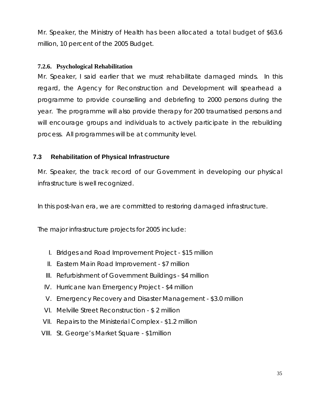<span id="page-34-0"></span>Mr. Speaker, the Ministry of Health has been allocated a total budget of \$63.6 million, 10 percent of the 2005 Budget.

#### **7.2.6. Psychological Rehabilitation**

Mr. Speaker, I said earlier that we must rehabilitate damaged minds. In this regard, the Agency for Reconstruction and Development will spearhead a programme to provide counselling and debriefing to 2000 persons during the year. The programme will also provide therapy for 200 traumatised persons and will encourage groups and individuals to actively participate in the rebuilding process. All programmes will be at community level.

#### **7.3 Rehabilitation of Physical Infrastructure**

Mr. Speaker, the track record of our Government in developing our physical infrastructure is well recognized.

In this post-Ivan era, we are committed to restoring damaged infrastructure.

The major infrastructure projects for 2005 include:

- I. Bridges and Road Improvement Project \$15 million
- II. Eastern Main Road Improvement \$7 million
- III. Refurbishment of Government Buildings \$4 million
- IV. Hurricane Ivan Emergency Project \$4 million
- V. Emergency Recovery and Disaster Management \$3.0 million
- VI. Melville Street Reconstruction \$ 2 million
- VII. Repairs to the Ministerial Complex \$1.2 million
- VIII. St. George's Market Square \$1million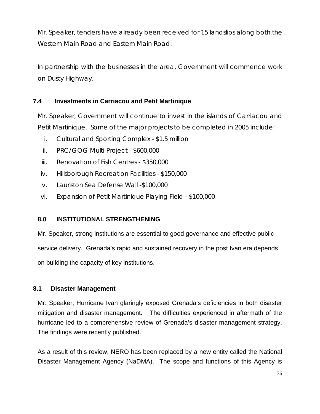<span id="page-35-0"></span>Mr. Speaker, tenders have already been received for 15 landslips along both the Western Main Road and Eastern Main Road.

In partnership with the businesses in the area, Government will commence work on Dusty Highway.

## **7.4 Investments in Carriacou and Petit Martinique**

Mr. Speaker, Government will continue to invest in the islands of Carriacou and Petit Martinique. Some of the major projects to be completed in 2005 include:

- i. Cultural and Sporting Complex \$1.5 million
- ii. PRC/GOG Multi-Project \$600,000
- iii. Renovation of Fish Centres \$350,000
- iv. Hillsborough Recreation Facilities \$150,000
- v. Lauriston Sea Defense Wall -\$100,000
- vi. Expansion of Petit Martinique Playing Field \$100,000

#### **8.0 INSTITUTIONAL STRENGTHENING**

Mr. Speaker, strong institutions are essential to good governance and effective public service delivery. Grenada's rapid and sustained recovery in the post Ivan era depends on building the capacity of key institutions.

#### **8.1 Disaster Management**

Mr. Speaker, Hurricane Ivan glaringly exposed Grenada's deficiencies in both disaster mitigation and disaster management. The difficulties experienced in aftermath of the hurricane led to a comprehensive review of Grenada's disaster management strategy. The findings were recently published.

As a result of this review, NERO has been replaced by a new entity called the National Disaster Management Agency (NaDMA). The scope and functions of this Agency is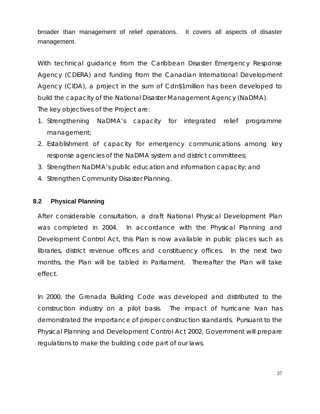<span id="page-36-0"></span>broader than management of relief operations. It covers all aspects of disaster management.

With technical guidance from the Caribbean Disaster Emergency Response Agency (CDERA) and funding from the Canadian International Development Agency (CIDA), a project in the sum of Cdn\$1million has been developed to build the capacity of the National Disaster Management Agency (NaDMA). The key objectives of the Project are:

- 1. Strengthening NaDMA's capacity for integrated relief programme management;
- 2. Establishment of capacity for emergency communications among key response agencies of the NaDMA system and district committees;
- 3. Strengthen NaDMA's public education and information capacity; and
- 4. Strengthen Community Disaster Planning.

#### **8.2 Physical Planning**

After considerable consultation, a draft National Physical Development Plan was completed in 2004. In accordance with the Physical Planning and Development Control Act, this Plan is now available in public places such as libraries, district revenue offices and constituency offices. In the next two months, the Plan will be tabled in Parliament. Thereafter the Plan will take effect.

In 2000, the Grenada Building Code was developed and distributed to the construction industry on a pilot basis. The impact of hurricane Ivan has demonstrated the importance of proper construction standards. Pursuant to the Physical Planning and Development Control Act 2002, Government will prepare regulations to make the building code part of our laws.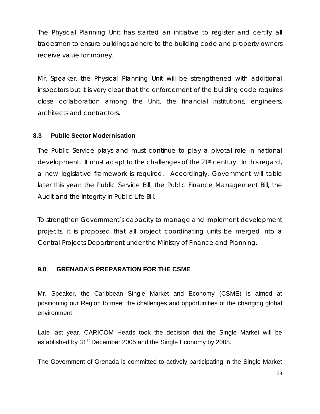<span id="page-37-0"></span>The Physical Planning Unit has started an initiative to register and certify all tradesmen to ensure buildings adhere to the building code and property owners receive value for money.

Mr. Speaker, the Physical Planning Unit will be strengthened with additional inspectors but it is very clear that the enforcement of the building code requires close collaboration among the Unit, the financial institutions, engineers, architects and contractors.

## **8.3 Public Sector Modernisation**

The Public Service plays and must continue to play a pivotal role in national development. It must adapt to the challenges of the 21<sup>st</sup> century. In this regard, a new legislative framework is required. Accordingly, Government will table later this year: the Public Service Bill, the Public Finance Management Bill, the Audit and the Integrity in Public Life Bill.

To strengthen Government's capacity to manage and implement development projects, it is proposed that all project coordinating units be merged into a Central Projects Department under the Ministry of Finance and Planning.

## **9.0 GRENADA'S PREPARATION FOR THE CSME**

Mr. Speaker, the Caribbean Single Market and Economy (CSME) is aimed at positioning our Region to meet the challenges and opportunities of the changing global environment.

Late last year, CARICOM Heads took the decision that the Single Market will be established by 31<sup>st</sup> December 2005 and the Single Economy by 2008.

The Government of Grenada is committed to actively participating in the Single Market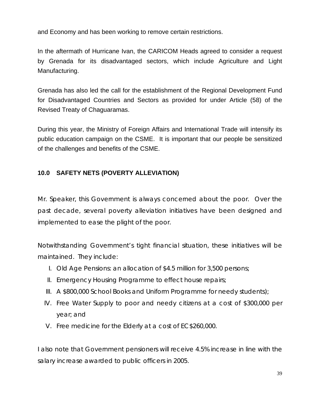<span id="page-38-0"></span>and Economy and has been working to remove certain restrictions.

In the aftermath of Hurricane Ivan, the CARICOM Heads agreed to consider a request by Grenada for its disadvantaged sectors, which include Agriculture and Light Manufacturing.

Grenada has also led the call for the establishment of the Regional Development Fund for Disadvantaged Countries and Sectors as provided for under Article (58) of the Revised Treaty of Chaguaramas.

During this year, the Ministry of Foreign Affairs and International Trade will intensify its public education campaign on the CSME. It is important that our people be sensitized of the challenges and benefits of the CSME.

## **10.0 SAFETY NETS (POVERTY ALLEVIATION)**

Mr. Speaker, this Government is always concerned about the poor. Over the past decade, several poverty alleviation initiatives have been designed and implemented to ease the plight of the poor.

Notwithstanding Government's tight financial situation, these initiatives will be maintained. They include:

- I. Old Age Pensions: an allocation of \$4.5 million for 3,500 persons;
- II. Emergency Housing Programme to effect house repairs;
- III. A \$800,000 School Books and Uniform Programme for needy students);
- IV. Free Water Supply to poor and needy citizens at a cost of \$300,000 per year; and
- V. Free medicine for the Elderly at a cost of EC\$260,000.

I also note that Government pensioners will receive 4.5% increase in line with the salary increase awarded to public officers in 2005.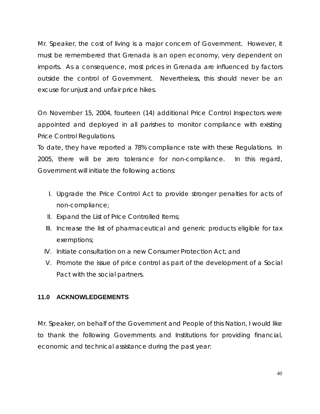<span id="page-39-0"></span>Mr. Speaker, the cost of living is a major concern of Government. However, it must be remembered that Grenada is an open economy, very dependent on imports. As a consequence, most prices in Grenada are influenced by factors outside the control of Government. Nevertheless, this should never be an excuse for unjust and unfair price hikes.

On November 15, 2004, fourteen (14) additional Price Control Inspectors were appointed and deployed in all parishes to monitor compliance with existing Price Control Regulations.

To date, they have reported a 78% compliance rate with these Regulations. In 2005, there will be zero tolerance for non-compliance. In this regard, Government will initiate the following actions:

- I. Upgrade the Price Control Act to provide stronger penalties for acts of non-compliance;
- II. Expand the List of Price Controlled Items;
- III. Increase the list of pharmaceutical and generic products eligible for tax exemptions;
- IV. Initiate consultation on a new Consumer Protection Act; and
- V. Promote the issue of price control as part of the development of a Social Pact with the social partners.

## **11.0 ACKNOWLEDGEMENTS**

Mr. Speaker, on behalf of the Government and People of this Nation, I would like to thank the following Governments and Institutions for providing financial, economic and technical assistance during the past year: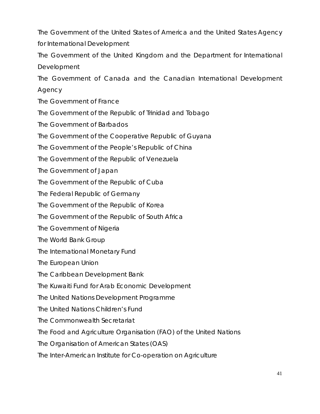The Government of the United States of America and the United States Agency for International Development

The Government of the United Kingdom and the Department for International Development

The Government of Canada and the Canadian International Development Agency

The Government of France

The Government of the Republic of Trinidad and Tobago

The Government of Barbados

The Government of the Cooperative Republic of Guyana

The Government of the People's Republic of China

The Government of the Republic of Venezuela

The Government of Japan

The Government of the Republic of Cuba

The Federal Republic of Germany

The Government of the Republic of Korea

The Government of the Republic of South Africa

The Government of Nigeria

The World Bank Group

The International Monetary Fund

The European Union

The Caribbean Development Bank

The Kuwaiti Fund for Arab Economic Development

The United Nations Development Programme

The United Nations Children's Fund

The Commonwealth Secretariat

The Food and Agriculture Organisation (FAO) of the United Nations

The Organisation of American States (OAS)

The Inter-American Institute for Co-operation on Agriculture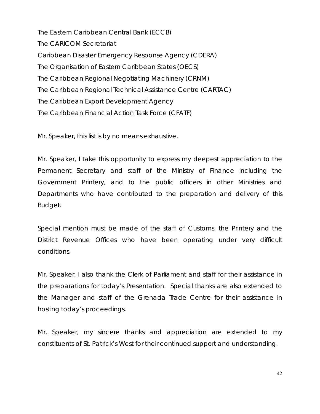The Eastern Caribbean Central Bank (ECCB) The CARICOM Secretariat Caribbean Disaster Emergency Response Agency (CDERA) The Organisation of Eastern Caribbean States (OECS) The Caribbean Regional Negotiating Machinery (CRNM) The Caribbean Regional Technical Assistance Centre (CARTAC) The Caribbean Export Development Agency The Caribbean Financial Action Task Force (CFATF)

Mr. Speaker, this list is by no means exhaustive.

Mr. Speaker, I take this opportunity to express my deepest appreciation to the Permanent Secretary and staff of the Ministry of Finance including the Government Printery, and to the public officers in other Ministries and Departments who have contributed to the preparation and delivery of this Budget.

Special mention must be made of the staff of Customs, the Printery and the District Revenue Offices who have been operating under very difficult conditions.

Mr. Speaker, I also thank the Clerk of Parliament and staff for their assistance in the preparations for today's Presentation. Special thanks are also extended to the Manager and staff of the Grenada Trade Centre for their assistance in hosting today's proceedings.

Mr. Speaker, my sincere thanks and appreciation are extended to my constituents of St. Patrick's West for their continued support and understanding.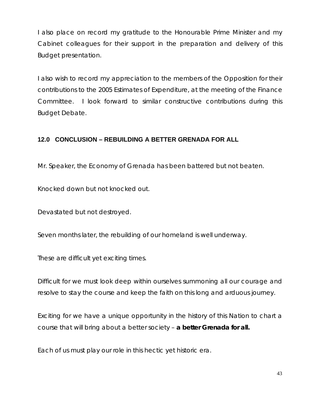<span id="page-42-0"></span>I also place on record my gratitude to the Honourable Prime Minister and my Cabinet colleagues for their support in the preparation and delivery of this Budget presentation.

I also wish to record my appreciation to the members of the Opposition for their contributions to the 2005 Estimates of Expenditure, at the meeting of the Finance Committee. I look forward to similar constructive contributions during this Budget Debate.

## **12.0 CONCLUSION – REBUILDING A BETTER GRENADA FOR ALL**

Mr. Speaker, the Economy of Grenada has been battered but not beaten.

Knocked down but not knocked out.

Devastated but not destroyed.

Seven months later, the rebuilding of our homeland is well underway.

These are difficult yet exciting times.

Difficult for we must look deep within ourselves summoning all our courage and resolve to stay the course and keep the faith on this long and arduous journey.

Exciting for we have a unique opportunity in the history of this Nation to chart a course that will bring about a better society – **a better Grenada for all.** 

Each of us must play our role in this hectic yet historic era.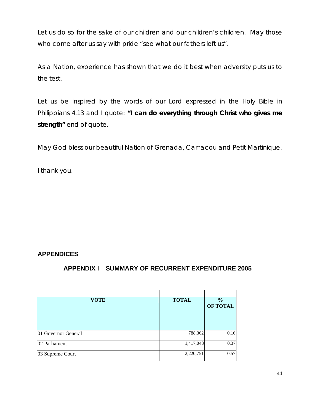<span id="page-43-0"></span>Let us do so for the sake of our children and our children's children. May those who come after us say with pride "see what our fathers left us".

As a Nation, experience has shown that we do it best when adversity puts us to the test.

Let us be inspired by the words of our Lord expressed in the Holy Bible in Philippians 4.13 and I quote: **"I can do everything through Christ who gives me strength"** end of quote.

May God bless our beautiful Nation of Grenada, Carriacou and Petit Martinique.

I thank you.

## **APPENDICES**

## **APPENDIX I SUMMARY OF RECURRENT EXPENDITURE 2005**

| <b>VOTE</b>         | <b>TOTAL</b> | $\frac{0}{0}$<br><b>OF TOTAL</b> |
|---------------------|--------------|----------------------------------|
| 01 Governor General | 788,362      | 0.16                             |
| 02 Parliament       | 1,417,048    | 0.37                             |
| 03 Supreme Court    | 2,220,751    | 0.57                             |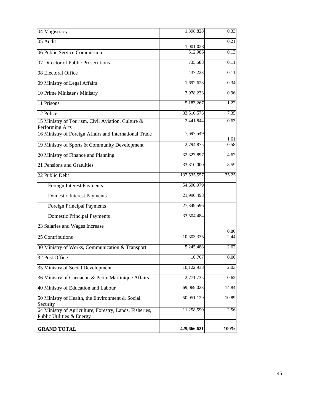| 04 Magistracy                                                                        | 1,398,828            | 0.33  |
|--------------------------------------------------------------------------------------|----------------------|-------|
| 05 Audit                                                                             |                      | 0.21  |
| 06 Public Service Commission                                                         | 1,001,028<br>512,986 | 0.13  |
| 07 Director of Public Prosecutions                                                   | 735,588              | 0.11  |
| 08 Electoral Office                                                                  | 437,223              | 0.11  |
| 09 Ministry of Legal Affairs                                                         | 1,692,623            | 0.34  |
| 10 Prime Minister's Ministry                                                         | 3,978,233            | 0.96  |
| 11 Prisons                                                                           | 5,183,267            | 1.22  |
| 12 Police                                                                            | 33,510,573           | 7.35  |
| 15 Ministry of Tourism, Civil Aviation, Culture &<br>Performing Arts                 | 2,441,844            | 0.63  |
| 16 Ministry of Foreign Affairs and International Trade                               | 7,697,549            | 1.61  |
| 19 Ministry of Sports & Community Development                                        | 2,794,875            | 0.58  |
| 20 Ministry of Finance and Planning                                                  | 32,327,897           | 4.62  |
| 21 Pensions and Gratuities                                                           | 33,810,000           | 8.59  |
| 22 Public Debt                                                                       | 137,535,557          | 35.25 |
| Foreign Interest Payments                                                            | 54,690,979           |       |
| <b>Domestic Interest Payments</b>                                                    | 21,990,498           |       |
| <b>Foreign Principal Payments</b>                                                    | 27,349,596           |       |
| <b>Domestic Principal Payments</b>                                                   | 33,504,484           |       |
| 23 Salaries and Wages Increase                                                       |                      | 0.86  |
| 25 Contributions                                                                     | 10,303,335           | 2.44  |
| 30 Ministry of Works, Communication & Transport                                      | 5,245,488            | 2.62  |
| 32 Post Office                                                                       | 10,767               | 0.00  |
| 35 Ministry of Social Development                                                    | 10,122,938           | 2.03  |
| 36 Ministry of Carriacou & Petite Martinique Affairs                                 | 2,771,735            | 0.62  |
| 40 Ministry of Education and Labour                                                  | 69,069,023           | 14.84 |
| 50 Ministry of Health, the Environment & Social<br>Security                          | 50,951,129           | 10.89 |
| 64 Ministry of Agriculture, Forestry, Lands, Fisheries,<br>Public Utilities & Energy | 11,258,590           | 2.56  |
| <b>GRAND TOTAL</b>                                                                   | 429,666,621          | 100%  |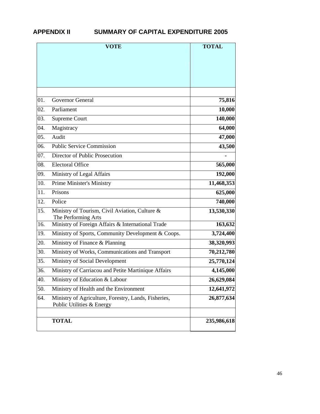#### <span id="page-45-0"></span>**APPENDIX II SUMMARY OF CAPITAL EXPENDITURE 2005**

|     | <b>VOTE</b>                                                                       | <b>TOTAL</b> |  |
|-----|-----------------------------------------------------------------------------------|--------------|--|
|     |                                                                                   |              |  |
| 01. | Governor General                                                                  | 75,816       |  |
| 02. | Parliament                                                                        | 10,000       |  |
| 03. | Supreme Court                                                                     | 140,000      |  |
| 04. | Magistracy                                                                        | 64,000       |  |
| 05. | Audit                                                                             | 47,000       |  |
| 06. | <b>Public Service Commission</b>                                                  | 43,500       |  |
| 07. | Director of Public Prosecution                                                    |              |  |
| 08. | <b>Electoral Office</b>                                                           | 565,000      |  |
| 09. | Ministry of Legal Affairs                                                         | 192,000      |  |
| 10. | Prime Minister's Ministry                                                         | 11,468,353   |  |
| 11. | Prisons                                                                           | 625,000      |  |
| 12. | Police                                                                            | 740,000      |  |
| 15. | Ministry of Tourism, Civil Aviation, Culture &<br>The Performing Arts             | 13,530,330   |  |
| 16. | Ministry of Foreign Affairs & International Trade                                 | 163,632      |  |
| 19. | Ministry of Sports, Community Development & Coops.                                | 3,724,400    |  |
| 20. | Ministry of Finance & Planning                                                    | 38,320,993   |  |
| 30. | Ministry of Works, Communications and Transport                                   | 70,212,780   |  |
| 35. | Ministry of Social Development                                                    | 25,770,124   |  |
| 36. | Ministry of Carriacou and Petite Martinique Affairs                               | 4,145,000    |  |
| 40. | Ministry of Education & Labour                                                    | 26,629,084   |  |
| 50. | Ministry of Health and the Environment                                            | 12,641,972   |  |
| 64. | Ministry of Agriculture, Forestry, Lands, Fisheries,<br>Public Utilities & Energy | 26,877,634   |  |
|     | <b>TOTAL</b>                                                                      | 235,986,618  |  |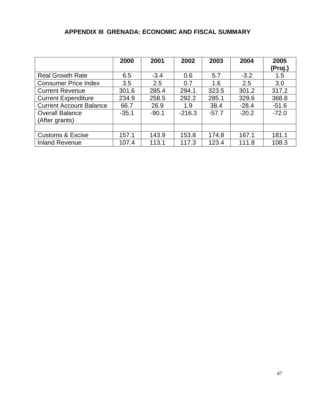## **APPENDIX III GRENADA: ECONOMIC AND FISCAL SUMMARY**

<span id="page-46-0"></span>

|                                | 2000    | 2001    | 2002     | 2003    | 2004    | 2005    |
|--------------------------------|---------|---------|----------|---------|---------|---------|
|                                |         |         |          |         |         | (Proj.) |
| <b>Real Growth Rate</b>        | 6.5     | $-3.4$  | 0.6      | 5.7     | $-3.2$  | 1.5     |
| <b>Consumer Price Index</b>    | 3.5     | 2.5     | 0.7      | 1.6     | 2.5     | 3.0     |
| <b>Current Revenue</b>         | 301.6   | 285.4   | 294.1    | 323.5   | 301.2   | 317.2   |
| <b>Current Expenditure</b>     | 234.9   | 258.5   | 292.2    | 285.1   | 329.6   | 368.8   |
| <b>Current Account Balance</b> | 66.7    | 26.9    | 1.9      | 38.4    | $-28.4$ | $-51.6$ |
| <b>Overall Balance</b>         | $-35.1$ | $-90.1$ | $-216.3$ | $-57.7$ | $-20.2$ | $-72.0$ |
| (After grants)                 |         |         |          |         |         |         |
|                                |         |         |          |         |         |         |
| <b>Customs &amp; Excise</b>    | 157.1   | 143.9   | 153.8    | 174.8   | 167.1   | 181.1   |
| <b>Inland Revenue</b>          | 107.4   | 113.1   | 117.3    | 123.4   | 111.8   | 108.3   |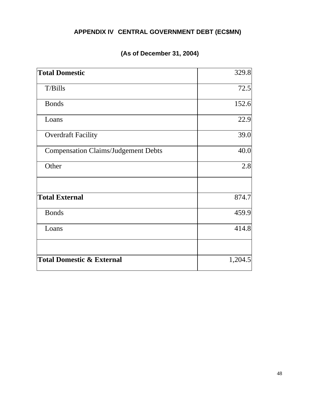## **APPENDIX IV CENTRAL GOVERNMENT DEBT (EC\$MN)**

## **(As of December 31, 2004)**

<span id="page-47-0"></span>

| <b>Total Domestic</b>                      | 329.8   |
|--------------------------------------------|---------|
| T/Bills                                    | 72.5    |
| <b>Bonds</b>                               | 152.6   |
| Loans                                      | 22.9    |
| <b>Overdraft Facility</b>                  | 39.0    |
| <b>Compensation Claims/Judgement Debts</b> | 40.0    |
| Other                                      | 2.8     |
| <b>Total External</b>                      | 874.7   |
| <b>Bonds</b>                               | 459.9   |
| Loans                                      | 414.8   |
| <b>Total Domestic &amp; External</b>       | 1,204.5 |
|                                            |         |